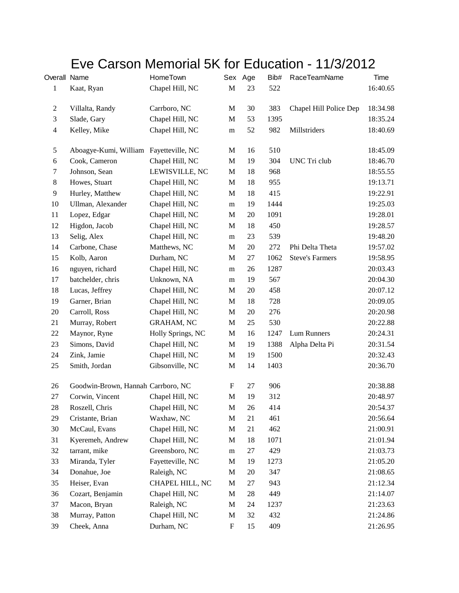## Eve Carson Memorial 5K for Education - 11/3/2012

| Overall Name   |                                        | HomeTown          |                           | Sex Age | Bib# | <b>RaceTeamName</b>    | Time     |
|----------------|----------------------------------------|-------------------|---------------------------|---------|------|------------------------|----------|
| $\mathbf{1}$   | Kaat, Ryan                             | Chapel Hill, NC   | $\mathbf M$               | 23      | 522  |                        | 16:40.65 |
| $\overline{c}$ | Villalta, Randy                        | Carrboro, NC      | M                         | 30      | 383  | Chapel Hill Police Dep | 18:34.98 |
| 3              | Slade, Gary                            | Chapel Hill, NC   | $\mathbf M$               | 53      | 1395 |                        | 18:35.24 |
| $\overline{4}$ | Kelley, Mike                           | Chapel Hill, NC   | ${\bf m}$                 | 52      | 982  | Millstriders           | 18:40.69 |
| 5              | Aboagye-Kumi, William Fayetteville, NC |                   | M                         | 16      | 510  |                        | 18:45.09 |
| 6              | Cook, Cameron                          | Chapel Hill, NC   | $\mathbf M$               | 19      | 304  | UNC Tri club           | 18:46.70 |
| $\tau$         | Johnson, Sean                          | LEWISVILLE, NC    | $\mathbf{M}$              | 18      | 968  |                        | 18:55.55 |
| $8\,$          | Howes, Stuart                          | Chapel Hill, NC   | $\mathbf M$               | 18      | 955  |                        | 19:13.71 |
| 9              | Hurley, Matthew                        | Chapel Hill, NC   | M                         | 18      | 415  |                        | 19:22.91 |
| 10             | Ullman, Alexander                      | Chapel Hill, NC   | m                         | 19      | 1444 |                        | 19:25.03 |
| 11             | Lopez, Edgar                           | Chapel Hill, NC   | $\mathbf M$               | 20      | 1091 |                        | 19:28.01 |
| 12             | Higdon, Jacob                          | Chapel Hill, NC   | $\mathbf{M}$              | 18      | 450  |                        | 19:28.57 |
| 13             | Selig, Alex                            | Chapel Hill, NC   | m                         | 23      | 539  |                        | 19:48.20 |
| 14             | Carbone, Chase                         | Matthews, NC      | $\mathbf M$               | 20      | 272  | Phi Delta Theta        | 19:57.02 |
| 15             | Kolb, Aaron                            | Durham, NC        | M                         | $27\,$  | 1062 | <b>Steve's Farmers</b> | 19:58.95 |
| 16             | nguyen, richard                        | Chapel Hill, NC   | m                         | 26      | 1287 |                        | 20:03.43 |
| 17             | batchelder, chris                      | Unknown, NA       | m                         | 19      | 567  |                        | 20:04.30 |
| 18             | Lucas, Jeffrey                         | Chapel Hill, NC   | M                         | 20      | 458  |                        | 20:07.12 |
| 19             | Garner, Brian                          | Chapel Hill, NC   | $\mathbf M$               | 18      | 728  |                        | 20:09.05 |
| $20\,$         | Carroll, Ross                          | Chapel Hill, NC   | M                         | 20      | 276  |                        | 20:20.98 |
| 21             | Murray, Robert                         | <b>GRAHAM, NC</b> | $\mathbf M$               | 25      | 530  |                        | 20:22.88 |
| 22             | Maynor, Ryne                           | Holly Springs, NC | $\mathbf{M}$              | 16      | 1247 | Lum Runners            | 20:24.31 |
| 23             | Simons, David                          | Chapel Hill, NC   | $\mathbf M$               | 19      | 1388 | Alpha Delta Pi         | 20:31.54 |
| 24             | Zink, Jamie                            | Chapel Hill, NC   | $\mathbf M$               | 19      | 1500 |                        | 20:32.43 |
| 25             | Smith, Jordan                          | Gibsonville, NC   | M                         | 14      | 1403 |                        | 20:36.70 |
| 26             | Goodwin-Brown, Hannah Carrboro, NC     |                   | $\boldsymbol{\mathrm{F}}$ | 27      | 906  |                        | 20:38.88 |
| 27             | Corwin, Vincent                        | Chapel Hill, NC   | $\mathbf M$               | 19      | 312  |                        | 20:48.97 |
| 28             | Roszell, Chris                         | Chapel Hill, NC   | M                         | 26      | 414  |                        | 20:54.37 |
| 29             | Cristante, Brian                       | Waxhaw, NC        | M                         | 21      | 461  |                        | 20:56.64 |
| 30             | McCaul, Evans                          | Chapel Hill, NC   | $\mathbf M$               | 21      | 462  |                        | 21:00.91 |
| 31             | Kyeremeh, Andrew                       | Chapel Hill, NC   | $\mathbf M$               | 18      | 1071 |                        | 21:01.94 |
| 32             | tarrant, mike                          | Greensboro, NC    | m                         | 27      | 429  |                        | 21:03.73 |
| 33             | Miranda, Tyler                         | Fayetteville, NC  | $\mathbf M$               | 19      | 1273 |                        | 21:05.20 |
| 34             | Donahue, Joe                           | Raleigh, NC       | $\mathbf{M}$              | 20      | 347  |                        | 21:08.65 |
| 35             | Heiser, Evan                           | CHAPEL HILL, NC   | M                         | 27      | 943  |                        | 21:12.34 |
| 36             | Cozart, Benjamin                       | Chapel Hill, NC   | $\mathbf M$               | 28      | 449  |                        | 21:14.07 |
| 37             | Macon, Bryan                           | Raleigh, NC       | M                         | 24      | 1237 |                        | 21:23.63 |
| 38             | Murray, Patton                         | Chapel Hill, NC   | M                         | 32      | 432  |                        | 21:24.86 |
| 39             | Cheek, Anna                            | Durham, NC        | ${\bf F}$                 | 15      | 409  |                        | 21:26.95 |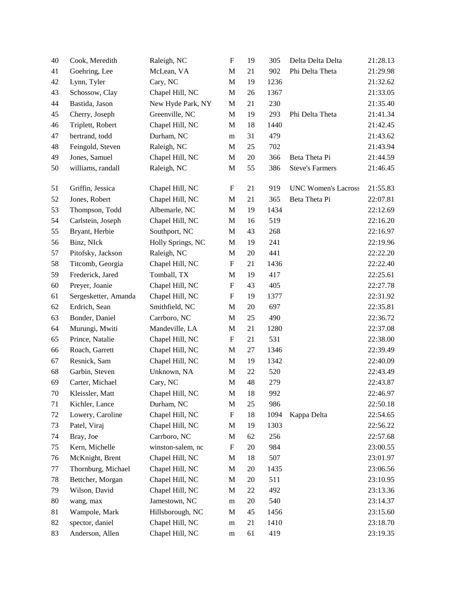| 40     | Cook, Meredith       | Raleigh, NC       | ${\bf F}$                 | 19     | 305  | Delta Delta Delta          | 21:28.13 |
|--------|----------------------|-------------------|---------------------------|--------|------|----------------------------|----------|
| 41     | Goehring, Lee        | McLean, VA        | $\mathbf M$               | 21     | 902  | Phi Delta Theta            | 21:29.98 |
| 42     | Lynn, Tyler          | Cary, NC          | $\mathbf M$               | 19     | 1236 |                            | 21:32.62 |
| 43     | Schossow, Clay       | Chapel Hill, NC   | $\mathbf M$               | 26     | 1367 |                            | 21:33.05 |
| 44     | Bastida, Jason       | New Hyde Park, NY | M                         | 21     | 230  |                            | 21:35.40 |
| 45     | Cherry, Joseph       | Greenville, NC    | $\mathbf M$               | 19     | 293  | Phi Delta Theta            | 21:41.34 |
| 46     | Triplett, Robert     | Chapel Hill, NC   | M                         | 18     | 1440 |                            | 21:42.45 |
| 47     | bertrand, todd       | Durham, NC        | m                         | 31     | 479  |                            | 21:43.62 |
| 48     | Feingold, Steven     | Raleigh, NC       | $\mathbf M$               | 25     | 702  |                            | 21:43.94 |
| 49     | Jones, Samuel        | Chapel Hill, NC   | M                         | 20     | 366  | Beta Theta Pi              | 21:44.59 |
| 50     | williams, randall    | Raleigh, NC       | $\mathbf M$               | 55     | 386  | <b>Steve's Farmers</b>     | 21:46.45 |
| 51     | Griffin, Jessica     | Chapel Hill, NC   | F                         | 21     | 919  | <b>UNC Women's Lacross</b> | 21:55.83 |
| 52     | Jones, Robert        | Chapel Hill, NC   | M                         | 21     | 365  | Beta Theta Pi              | 22:07.81 |
| 53     | Thompson, Todd       | Albemarle, NC     | M                         | 19     | 1434 |                            | 22:12.69 |
| 54     | Carlstein, Joseph    | Chapel Hill, NC   | $\mathbf M$               | 16     | 519  |                            | 22:16.20 |
| 55     | Bryant, Herbie       | Southport, NC     | M                         | 43     | 268  |                            | 22:16.97 |
| 56     | Binz, NIck           | Holly Springs, NC | M                         | 19     | 241  |                            | 22:19.96 |
| 57     | Pitofsky, Jackson    | Raleigh, NC       | M                         | $20\,$ | 441  |                            | 22:22.20 |
| 58     | Titcomb, Georgia     | Chapel Hill, NC   | $\boldsymbol{\mathrm{F}}$ | 21     | 1436 |                            | 22:22.40 |
| 59     | Frederick, Jared     | Tomball, TX       | M                         | 19     | 417  |                            | 22:25.61 |
| 60     | Preyer, Joanie       | Chapel Hill, NC   | $\mathbf F$               | 43     | 405  |                            | 22:27.78 |
| 61     | Sergesketter, Amanda | Chapel Hill, NC   | $\mathbf F$               | 19     | 1377 |                            | 22:31.92 |
| 62     | Erdrich, Sean        | Smithfield, NC    | $\mathbf M$               | 20     | 697  |                            | 22:35.81 |
| 63     | Bonder, Daniel       | Carrboro, NC      | $\mathbf M$               | 25     | 490  |                            | 22:36.72 |
| 64     | Murungi, Mwiti       | Mandeville, LA    | M                         | 21     | 1280 |                            | 22:37.08 |
| 65     | Prince, Natalie      | Chapel Hill, NC   | $\boldsymbol{\mathrm{F}}$ | 21     | 531  |                            | 22:38.00 |
| 66     | Roach, Garrett       | Chapel Hill, NC   | M                         | 27     | 1346 |                            | 22:39.49 |
| 67     | Resnick, Sam         | Chapel Hill, NC   | M                         | 19     | 1342 |                            | 22:40.09 |
| 68     | Garbin, Steven       | Unknown, NA       | M                         | 22     | 520  |                            | 22:43.49 |
| 69     | Carter, Michael      | Cary, NC          | $\mathbf M$               | 48     | 279  |                            | 22:43.87 |
| $70\,$ | Kleissler, Matt      | Chapel Hill, NC   | M                         | 18     | 992  |                            | 22:46.97 |
| 71     | Kichler, Lance       | Durham, NC        | M                         | 25     | 986  |                            | 22:50.18 |
| 72     | Lowery, Caroline     | Chapel Hill, NC   | $\boldsymbol{\mathrm{F}}$ | 18     | 1094 | Kappa Delta                | 22:54.65 |
| 73     | Patel, Viraj         | Chapel Hill, NC   | M                         | 19     | 1303 |                            | 22:56.22 |
| 74     | Bray, Joe            | Carrboro, NC      | M                         | 62     | 256  |                            | 22:57.68 |
| 75     | Kern, Michelle       | winston-salem, nc | $\boldsymbol{\mathrm{F}}$ | 20     | 984  |                            | 23:00.55 |
| 76     | McKnight, Brent      | Chapel Hill, NC   | M                         | 18     | 507  |                            | 23:01.97 |
| 77     | Thornburg, Michael   | Chapel Hill, NC   | M                         | 20     | 1435 |                            | 23:06.56 |
| 78     | Bettcher, Morgan     | Chapel Hill, NC   | M                         | 20     | 511  |                            | 23:10.95 |
| 79     | Wilson, David        | Chapel Hill, NC   | M                         | 22     | 492  |                            | 23:13.36 |
| 80     | wang, max            | Jamestown, NC     | m                         | 20     | 540  |                            | 23:14.37 |
| 81     | Wampole, Mark        | Hillsborough, NC  | M                         | 45     | 1456 |                            | 23:15.60 |
| 82     | spector, daniel      | Chapel Hill, NC   | m                         | 21     | 1410 |                            | 23:18.70 |
| 83     | Anderson, Allen      | Chapel Hill, NC   | ${\rm m}$                 | 61     | 419  |                            | 23:19.35 |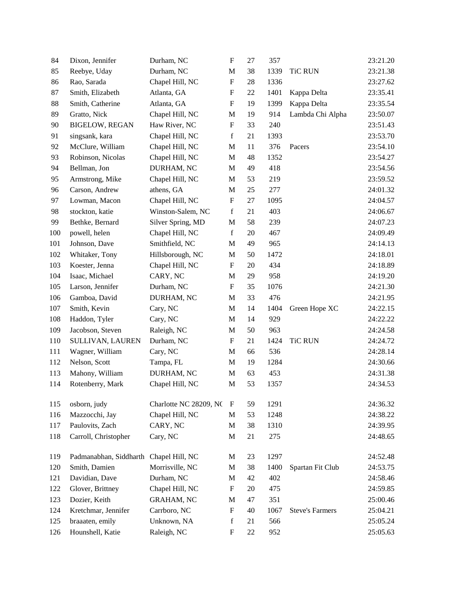| 84  | Dixon, Jennifer        | Durham, NC             | ${\bf F}$                 | 27 | 357  |                        | 23:21.20 |
|-----|------------------------|------------------------|---------------------------|----|------|------------------------|----------|
| 85  | Reebye, Uday           | Durham, NC             | $\mathbf M$               | 38 | 1339 | <b>TiC RUN</b>         | 23:21.38 |
| 86  | Rao, Sarada            | Chapel Hill, NC        | $\boldsymbol{\mathrm{F}}$ | 28 | 1336 |                        | 23:27.62 |
| 87  | Smith, Elizabeth       | Atlanta, GA            | $\mathbf F$               | 22 | 1401 | Kappa Delta            | 23:35.41 |
| 88  | Smith, Catherine       | Atlanta, GA            | $\boldsymbol{\mathrm{F}}$ | 19 | 1399 | Kappa Delta            | 23:35.54 |
| 89  | Gratto, Nick           | Chapel Hill, NC        | M                         | 19 | 914  | Lambda Chi Alpha       | 23:50.07 |
| 90  | <b>BIGELOW, REGAN</b>  | Haw River, NC          | $\mathbf F$               | 33 | 240  |                        | 23:51.43 |
| 91  | singsank, kara         | Chapel Hill, NC        | $\mathbf f$               | 21 | 1393 |                        | 23:53.70 |
| 92  | McClure, William       | Chapel Hill, NC        | M                         | 11 | 376  | Pacers                 | 23:54.10 |
| 93  | Robinson, Nicolas      | Chapel Hill, NC        | $\mathbf M$               | 48 | 1352 |                        | 23:54.27 |
| 94  | Bellman, Jon           | DURHAM, NC             | $\mathbf M$               | 49 | 418  |                        | 23:54.56 |
| 95  | Armstrong, Mike        | Chapel Hill, NC        | M                         | 53 | 219  |                        | 23:59.52 |
| 96  | Carson, Andrew         | athens, GA             | $\mathbf M$               | 25 | 277  |                        | 24:01.32 |
| 97  | Lowman, Macon          | Chapel Hill, NC        | ${\bf F}$                 | 27 | 1095 |                        | 24:04.57 |
| 98  | stockton, katie        | Winston-Salem, NC      | $\mathbf f$               | 21 | 403  |                        | 24:06.67 |
| 99  | Bethke, Bernard        | Silver Spring, MD      | M                         | 58 | 239  |                        | 24:07.23 |
| 100 | powell, helen          | Chapel Hill, NC        | $\mathbf f$               | 20 | 467  |                        | 24:09.49 |
| 101 | Johnson, Dave          | Smithfield, NC         | $\mathbf M$               | 49 | 965  |                        | 24:14.13 |
| 102 | Whitaker, Tony         | Hillsborough, NC       | M                         | 50 | 1472 |                        | 24:18.01 |
| 103 | Koester, Jenna         | Chapel Hill, NC        | $\boldsymbol{\mathrm{F}}$ | 20 | 434  |                        | 24:18.89 |
| 104 | Isaac, Michael         | CARY, NC               | M                         | 29 | 958  |                        | 24:19.20 |
| 105 | Larson, Jennifer       | Durham, NC             | $\mathbf F$               | 35 | 1076 |                        | 24:21.30 |
| 106 | Gamboa, David          | DURHAM, NC             | $\mathbf M$               | 33 | 476  |                        | 24:21.95 |
| 107 | Smith, Kevin           | Cary, NC               | $\mathbf M$               | 14 | 1404 | Green Hope XC          | 24:22.15 |
| 108 | Haddon, Tyler          | Cary, NC               | $\mathbf M$               | 14 | 929  |                        | 24:22.22 |
| 109 | Jacobson, Steven       | Raleigh, NC            | M                         | 50 | 963  |                        | 24:24.58 |
| 110 | SULLIVAN, LAUREN       | Durham, NC             | $\mathbf F$               | 21 | 1424 | <b>TiC RUN</b>         | 24:24.72 |
| 111 | Wagner, William        | Cary, NC               | $\mathbf M$               | 66 | 536  |                        | 24:28.14 |
| 112 | Nelson, Scott          | Tampa, FL              | M                         | 19 | 1284 |                        | 24:30.66 |
| 113 | Mahony, William        | DURHAM, NC             | $\mathbf M$               | 63 | 453  |                        | 24:31.38 |
| 114 | Rotenberry, Mark       | Chapel Hill, NC        | $\mathbf M$               | 53 | 1357 |                        | 24:34.53 |
| 115 | osborn, judy           | Charlotte NC 28209, NC | F                         | 59 | 1291 |                        | 24:36.32 |
| 116 | Mazzocchi, Jay         | Chapel Hill, NC        | $\mathbf M$               | 53 | 1248 |                        | 24:38.22 |
| 117 | Paulovits, Zach        | CARY, NC               | $\mathbf M$               | 38 | 1310 |                        | 24:39.95 |
| 118 | Carroll, Christopher   | Cary, NC               | $\mathbf M$               | 21 | 275  |                        | 24:48.65 |
| 119 | Padmanabhan, Siddharth | Chapel Hill, NC        | M                         | 23 | 1297 |                        | 24:52.48 |
| 120 | Smith, Damien          | Morrisville, NC        | $\mathbf M$               | 38 | 1400 | Spartan Fit Club       | 24:53.75 |
| 121 | Davidian, Dave         | Durham, NC             | M                         | 42 | 402  |                        | 24:58.46 |
| 122 | Glover, Brittney       | Chapel Hill, NC        | F                         | 20 | 475  |                        | 24:59.85 |
| 123 | Dozier, Keith          | <b>GRAHAM, NC</b>      | M                         | 47 | 351  |                        | 25:00.46 |
| 124 | Kretchmar, Jennifer    | Carrboro, NC           | ${\bf F}$                 | 40 | 1067 | <b>Steve's Farmers</b> | 25:04.21 |
| 125 | braaaten, emily        | Unknown, NA            | $\mathbf f$               | 21 | 566  |                        | 25:05.24 |
| 126 | Hounshell, Katie       | Raleigh, NC            | $\mathbf F$               | 22 | 952  |                        | 25:05.63 |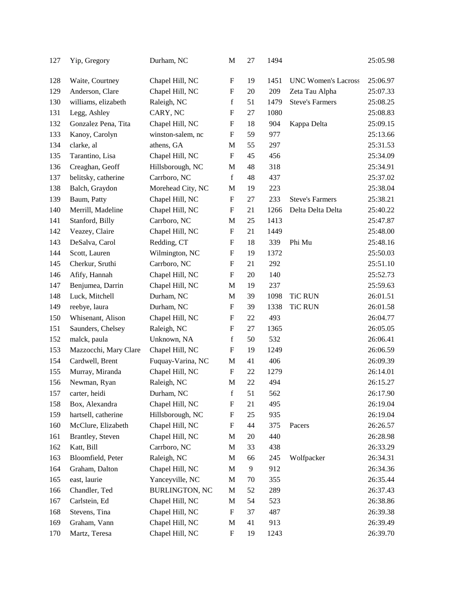| 127 | Yip, Gregory          | Durham, NC            | M                         | 27 | 1494 |                            | 25:05.98 |
|-----|-----------------------|-----------------------|---------------------------|----|------|----------------------------|----------|
| 128 | Waite, Courtney       | Chapel Hill, NC       | F                         | 19 | 1451 | <b>UNC Women's Lacross</b> | 25:06.97 |
| 129 | Anderson, Clare       | Chapel Hill, NC       | $\boldsymbol{\mathrm{F}}$ | 20 | 209  | Zeta Tau Alpha             | 25:07.33 |
| 130 | williams, elizabeth   | Raleigh, NC           | f                         | 51 | 1479 | <b>Steve's Farmers</b>     | 25:08.25 |
| 131 | Legg, Ashley          | CARY, NC              | $\boldsymbol{\mathrm{F}}$ | 27 | 1080 |                            | 25:08.83 |
| 132 | Gonzalez Pena, Tita   | Chapel Hill, NC       | $\boldsymbol{\mathrm{F}}$ | 18 | 904  | Kappa Delta                | 25:09.15 |
| 133 | Kanoy, Carolyn        | winston-salem, nc     | F                         | 59 | 977  |                            | 25:13.66 |
| 134 | clarke, al            | athens, GA            | M                         | 55 | 297  |                            | 25:31.53 |
| 135 | Tarantino, Lisa       | Chapel Hill, NC       | $\boldsymbol{\mathrm{F}}$ | 45 | 456  |                            | 25:34.09 |
| 136 | Creaghan, Geoff       | Hillsborough, NC      | $\mathbf M$               | 48 | 318  |                            | 25:34.91 |
| 137 | belitsky, catherine   | Carrboro, NC          | $\mathbf f$               | 48 | 437  |                            | 25:37.02 |
| 138 | Balch, Graydon        | Morehead City, NC     | M                         | 19 | 223  |                            | 25:38.04 |
| 139 | Baum, Patty           | Chapel Hill, NC       | $\boldsymbol{\mathrm{F}}$ | 27 | 233  | <b>Steve's Farmers</b>     | 25:38.21 |
| 140 | Merrill, Madeline     | Chapel Hill, NC       | F                         | 21 | 1266 | Delta Delta Delta          | 25:40.22 |
| 141 | Stanford, Billy       | Carrboro, NC          | M                         | 25 | 1413 |                            | 25:47.87 |
| 142 | Veazey, Claire        | Chapel Hill, NC       | $\boldsymbol{\mathrm{F}}$ | 21 | 1449 |                            | 25:48.00 |
| 143 | DeSalva, Carol        | Redding, CT           | $\boldsymbol{\mathrm{F}}$ | 18 | 339  | Phi Mu                     | 25:48.16 |
| 144 | Scott, Lauren         | Wilmington, NC        | $\boldsymbol{\mathrm{F}}$ | 19 | 1372 |                            | 25:50.03 |
| 145 | Cherkur, Sruthi       | Carrboro, NC          | $\boldsymbol{\mathrm{F}}$ | 21 | 292  |                            | 25:51.10 |
| 146 | Afify, Hannah         | Chapel Hill, NC       | $\boldsymbol{\mathrm{F}}$ | 20 | 140  |                            | 25:52.73 |
| 147 | Benjumea, Darrin      | Chapel Hill, NC       | M                         | 19 | 237  |                            | 25:59.63 |
| 148 | Luck, Mitchell        | Durham, NC            | M                         | 39 | 1098 | <b>TiC RUN</b>             | 26:01.51 |
| 149 | reebye, laura         | Durham, NC            | $\boldsymbol{\mathrm{F}}$ | 39 | 1338 | <b>TiC RUN</b>             | 26:01.58 |
| 150 | Whisenant, Alison     | Chapel Hill, NC       | F                         | 22 | 493  |                            | 26:04.77 |
| 151 | Saunders, Chelsey     | Raleigh, NC           | F                         | 27 | 1365 |                            | 26:05.05 |
| 152 | malck, paula          | Unknown, NA           | $\mathbf f$               | 50 | 532  |                            | 26:06.41 |
| 153 | Mazzocchi, Mary Clare | Chapel Hill, NC       | F                         | 19 | 1249 |                            | 26:06.59 |
| 154 | Cardwell, Brent       | Fuquay-Varina, NC     | M                         | 41 | 406  |                            | 26:09.39 |
| 155 | Murray, Miranda       | Chapel Hill, NC       | F                         | 22 | 1279 |                            | 26:14.01 |
| 156 | Newman, Ryan          | Raleigh, NC           | $\mathbf M$               | 22 | 494  |                            | 26:15.27 |
| 157 | carter, heidi         | Durham, NC            | $\mathbf f$               | 51 | 562  |                            | 26:17.90 |
| 158 | Box, Alexandra        | Chapel Hill, NC       | F                         | 21 | 495  |                            | 26:19.04 |
| 159 | hartsell, catherine   | Hillsborough, NC      | ${\bf F}$                 | 25 | 935  |                            | 26:19.04 |
| 160 | McClure, Elizabeth    | Chapel Hill, NC       | F                         | 44 | 375  | Pacers                     | 26:26.57 |
| 161 | Brantley, Steven      | Chapel Hill, NC       | M                         | 20 | 440  |                            | 26:28.98 |
| 162 | Katt, Bill            | Carrboro, NC          | M                         | 33 | 438  |                            | 26:33.29 |
| 163 | Bloomfield, Peter     | Raleigh, NC           | M                         | 66 | 245  | Wolfpacker                 | 26:34.31 |
| 164 | Graham, Dalton        | Chapel Hill, NC       | $\mathbf M$               | 9  | 912  |                            | 26:34.36 |
| 165 | east, laurie          | Yanceyville, NC       | M                         | 70 | 355  |                            | 26:35.44 |
| 166 | Chandler, Ted         | <b>BURLINGTON, NC</b> | M                         | 52 | 289  |                            | 26:37.43 |
| 167 | Carlstein, Ed         | Chapel Hill, NC       | $\mathbf M$               | 54 | 523  |                            | 26:38.86 |
| 168 | Stevens, Tina         | Chapel Hill, NC       | F                         | 37 | 487  |                            | 26:39.38 |
| 169 | Graham, Vann          | Chapel Hill, NC       | M                         | 41 | 913  |                            | 26:39.49 |
| 170 | Martz, Teresa         | Chapel Hill, NC       | F                         | 19 | 1243 |                            | 26:39.70 |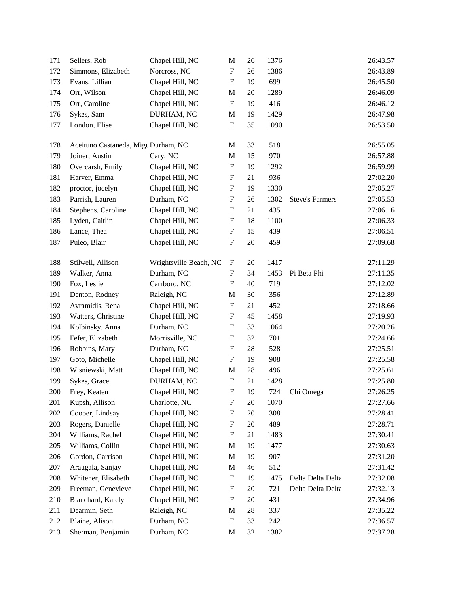| 171     | Sellers, Rob                        | Chapel Hill, NC        | M                         | 26 | 1376 |                        | 26:43.57 |
|---------|-------------------------------------|------------------------|---------------------------|----|------|------------------------|----------|
| 172     | Simmons, Elizabeth                  | Norcross, NC           | $\boldsymbol{\mathrm{F}}$ | 26 | 1386 |                        | 26:43.89 |
| 173     | Evans, Lillian                      | Chapel Hill, NC        | $\boldsymbol{\mathrm{F}}$ | 19 | 699  |                        | 26:45.50 |
| 174     | Orr, Wilson                         | Chapel Hill, NC        | M                         | 20 | 1289 |                        | 26:46.09 |
| 175     | Orr, Caroline                       | Chapel Hill, NC        | ${\bf F}$                 | 19 | 416  |                        | 26:46.12 |
| 176     | Sykes, Sam                          | DURHAM, NC             | M                         | 19 | 1429 |                        | 26:47.98 |
| 177     | London, Elise                       | Chapel Hill, NC        | ${\bf F}$                 | 35 | 1090 |                        | 26:53.50 |
| 178     | Aceituno Castaneda, Migu Durham, NC |                        | M                         | 33 | 518  |                        | 26:55.05 |
| 179     | Joiner, Austin                      | Cary, NC               | M                         | 15 | 970  |                        | 26:57.88 |
| 180     | Overcarsh, Emily                    | Chapel Hill, NC        | ${\bf F}$                 | 19 | 1292 |                        | 26:59.99 |
| 181     | Harver, Emma                        | Chapel Hill, NC        | $\boldsymbol{\mathrm{F}}$ | 21 | 936  |                        | 27:02.20 |
| 182     | proctor, jocelyn                    | Chapel Hill, NC        | $\boldsymbol{\mathrm{F}}$ | 19 | 1330 |                        | 27:05.27 |
| 183     | Parrish, Lauren                     | Durham, NC             | $\boldsymbol{\mathrm{F}}$ | 26 | 1302 | <b>Steve's Farmers</b> | 27:05.53 |
| 184     | Stephens, Caroline                  | Chapel Hill, NC        | $\boldsymbol{\mathrm{F}}$ | 21 | 435  |                        | 27:06.16 |
| 185     | Lyden, Caitlin                      | Chapel Hill, NC        | ${\bf F}$                 | 18 | 1100 |                        | 27:06.33 |
| 186     | Lance, Thea                         | Chapel Hill, NC        | $\boldsymbol{\mathrm{F}}$ | 15 | 439  |                        | 27:06.51 |
| 187     | Puleo, Blair                        | Chapel Hill, NC        | $\boldsymbol{\mathrm{F}}$ | 20 | 459  |                        | 27:09.68 |
| 188     | Stilwell, Allison                   | Wrightsville Beach, NC | $\mathbf{F}$              | 20 | 1417 |                        | 27:11.29 |
| 189     | Walker, Anna                        | Durham, NC             | F                         | 34 | 1453 | Pi Beta Phi            | 27:11.35 |
| 190     | Fox, Leslie                         | Carrboro, NC           | $\mathbf F$               | 40 | 719  |                        | 27:12.02 |
| 191     | Denton, Rodney                      | Raleigh, NC            | M                         | 30 | 356  |                        | 27:12.89 |
| 192     | Avramidis, Rena                     | Chapel Hill, NC        | $\boldsymbol{\mathrm{F}}$ | 21 | 452  |                        | 27:18.66 |
| 193     | Watters, Christine                  | Chapel Hill, NC        | $\boldsymbol{\mathrm{F}}$ | 45 | 1458 |                        | 27:19.93 |
| 194     | Kolbinsky, Anna                     | Durham, NC             | $\boldsymbol{\mathrm{F}}$ | 33 | 1064 |                        | 27:20.26 |
| 195     | Fefer, Elizabeth                    | Morrisville, NC        | $\boldsymbol{\mathrm{F}}$ | 32 | 701  |                        | 27:24.66 |
| 196     | Robbins, Mary                       | Durham, NC             | F                         | 28 | 528  |                        | 27:25.51 |
| 197     | Goto, Michelle                      | Chapel Hill, NC        | $\boldsymbol{\mathrm{F}}$ | 19 | 908  |                        | 27:25.58 |
| 198     | Wisniewski, Matt                    | Chapel Hill, NC        | M                         | 28 | 496  |                        | 27:25.61 |
| 199     | Sykes, Grace                        | DURHAM, NC             | ${\bf F}$                 | 21 | 1428 |                        | 27:25.80 |
| $200\,$ | Frey, Keaten                        | Chapel Hill, NC        | $\boldsymbol{\mathrm{F}}$ | 19 | 724  | Chi Omega              | 27:26.25 |
| 201     | Kupsh, Allison                      | Charlotte, NC          | F                         | 20 | 1070 |                        | 27:27.66 |
| 202     | Cooper, Lindsay                     | Chapel Hill, NC        | $\boldsymbol{\mathrm{F}}$ | 20 | 308  |                        | 27:28.41 |
| 203     | Rogers, Danielle                    | Chapel Hill, NC        | $\boldsymbol{\mathrm{F}}$ | 20 | 489  |                        | 27:28.71 |
| 204     | Williams, Rachel                    | Chapel Hill, NC        | $\boldsymbol{F}$          | 21 | 1483 |                        | 27:30.41 |
| 205     | Williams, Collin                    | Chapel Hill, NC        | M                         | 19 | 1477 |                        | 27:30.63 |
| 206     | Gordon, Garrison                    | Chapel Hill, NC        | $\mathbf M$               | 19 | 907  |                        | 27:31.20 |
| 207     | Araugala, Sanjay                    | Chapel Hill, NC        | M                         | 46 | 512  |                        | 27:31.42 |
| 208     | Whitener, Elisabeth                 | Chapel Hill, NC        | F                         | 19 | 1475 | Delta Delta Delta      | 27:32.08 |
| 209     | Freeman, Genevieve                  | Chapel Hill, NC        | $\mathbf F$               | 20 | 721  | Delta Delta Delta      | 27:32.13 |
| 210     | Blanchard, Katelyn                  | Chapel Hill, NC        | $\boldsymbol{\mathrm{F}}$ | 20 | 431  |                        | 27:34.96 |
| 211     | Dearmin, Seth                       | Raleigh, NC            | $\mathbf M$               | 28 | 337  |                        | 27:35.22 |
| 212     | Blaine, Alison                      | Durham, NC             | $\mathbf F$               | 33 | 242  |                        | 27:36.57 |
| 213     | Sherman, Benjamin                   | Durham, NC             | M                         | 32 | 1382 |                        | 27:37.28 |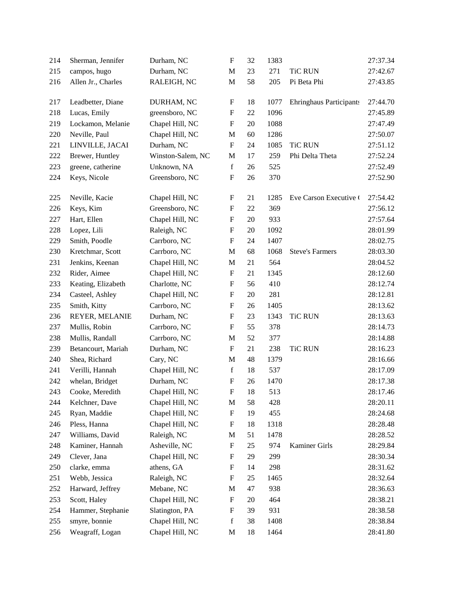| 214 | Sherman, Jennifer  | Durham, NC        | $\boldsymbol{\mathrm{F}}$ | 32     | 1383 |                                | 27:37.34 |
|-----|--------------------|-------------------|---------------------------|--------|------|--------------------------------|----------|
| 215 | campos, hugo       | Durham, NC        | M                         | 23     | 271  | <b>TiC RUN</b>                 | 27:42.67 |
| 216 | Allen Jr., Charles | RALEIGH, NC       | $\mathbf M$               | 58     | 205  | Pi Beta Phi                    | 27:43.85 |
| 217 | Leadbetter, Diane  | DURHAM, NC        | $\boldsymbol{\mathrm{F}}$ | 18     | 1077 | <b>Ehringhaus Participants</b> | 27:44.70 |
| 218 | Lucas, Emily       | greensboro, NC    | $\boldsymbol{\mathrm{F}}$ | $22\,$ | 1096 |                                | 27:45.89 |
| 219 | Lockamon, Melanie  | Chapel Hill, NC   | $\boldsymbol{\mathrm{F}}$ | 20     | 1088 |                                | 27:47.49 |
| 220 | Neville, Paul      | Chapel Hill, NC   | $\mathbf M$               | 60     | 1286 |                                | 27:50.07 |
| 221 | LINVILLE, JACAI    | Durham, NC        | ${\bf F}$                 | 24     | 1085 | <b>TiC RUN</b>                 | 27:51.12 |
| 222 | Brewer, Huntley    | Winston-Salem, NC | M                         | 17     | 259  | Phi Delta Theta                | 27:52.24 |
| 223 | greene, catherine  | Unknown, NA       | $\mathbf f$               | 26     | 525  |                                | 27:52.49 |
| 224 | Keys, Nicole       | Greensboro, NC    | $\boldsymbol{\mathrm{F}}$ | 26     | 370  |                                | 27:52.90 |
| 225 | Neville, Kacie     | Chapel Hill, NC   | $\boldsymbol{\mathrm{F}}$ | 21     | 1285 | Eve Carson Executive (         | 27:54.42 |
| 226 | Keys, Kim          | Greensboro, NC    | $\boldsymbol{\mathrm{F}}$ | 22     | 369  |                                | 27:56.12 |
| 227 | Hart, Ellen        | Chapel Hill, NC   | F                         | 20     | 933  |                                | 27:57.64 |
| 228 | Lopez, Lili        | Raleigh, NC       | $\boldsymbol{\mathrm{F}}$ | 20     | 1092 |                                | 28:01.99 |
| 229 | Smith, Poodle      | Carrboro, NC      | $\boldsymbol{\mathrm{F}}$ | 24     | 1407 |                                | 28:02.75 |
| 230 | Kretchmar, Scott   | Carrboro, NC      | $\mathbf{M}$              | 68     | 1068 | <b>Steve's Farmers</b>         | 28:03.30 |
| 231 | Jenkins, Keenan    | Chapel Hill, NC   | $\mathbf M$               | 21     | 564  |                                | 28:04.52 |
| 232 | Rider, Aimee       | Chapel Hill, NC   | $\boldsymbol{\mathrm{F}}$ | 21     | 1345 |                                | 28:12.60 |
| 233 | Keating, Elizabeth | Charlotte, NC     | $\boldsymbol{\mathrm{F}}$ | 56     | 410  |                                | 28:12.74 |
| 234 | Casteel, Ashley    | Chapel Hill, NC   | $\boldsymbol{\mathrm{F}}$ | 20     | 281  |                                | 28:12.81 |
| 235 | Smith, Kitty       | Carrboro, NC      | $\boldsymbol{\mathrm{F}}$ | 26     | 1405 |                                | 28:13.62 |
| 236 | REYER, MELANIE     | Durham, NC        | $\boldsymbol{\mathrm{F}}$ | 23     | 1343 | <b>TiC RUN</b>                 | 28:13.63 |
| 237 | Mullis, Robin      | Carrboro, NC      | $\boldsymbol{\mathrm{F}}$ | 55     | 378  |                                | 28:14.73 |
| 238 | Mullis, Randall    | Carrboro, NC      | M                         | 52     | 377  |                                | 28:14.88 |
| 239 | Betancourt, Mariah | Durham, NC        | $\boldsymbol{\mathrm{F}}$ | 21     | 238  | <b>TiC RUN</b>                 | 28:16.23 |
| 240 | Shea, Richard      | Cary, NC          | $\mathbf M$               | 48     | 1379 |                                | 28:16.66 |
| 241 | Verilli, Hannah    | Chapel Hill, NC   | $\mathbf f$               | 18     | 537  |                                | 28:17.09 |
| 242 | whelan, Bridget    | Durham, NC        | $\boldsymbol{\mathrm{F}}$ | 26     | 1470 |                                | 28:17.38 |
| 243 | Cooke, Meredith    | Chapel Hill, NC   | $\boldsymbol{\mathrm{F}}$ | 18     | 513  |                                | 28:17.46 |
| 244 | Kelchner, Dave     | Chapel Hill, NC   | M                         | 58     | 428  |                                | 28:20.11 |
| 245 | Ryan, Maddie       | Chapel Hill, NC   | $\boldsymbol{\mathrm{F}}$ | 19     | 455  |                                | 28:24.68 |
| 246 | Pless, Hanna       | Chapel Hill, NC   | $\boldsymbol{\mathrm{F}}$ | 18     | 1318 |                                | 28:28.48 |
| 247 | Williams, David    | Raleigh, NC       | M                         | 51     | 1478 |                                | 28:28.52 |
| 248 | Kaminer, Hannah    | Asheville, NC     | $\boldsymbol{\mathrm{F}}$ | 25     | 974  | Kaminer Girls                  | 28:29.84 |
| 249 | Clever, Jana       | Chapel Hill, NC   | F                         | 29     | 299  |                                | 28:30.34 |
| 250 | clarke, emma       | athens, GA        | $\boldsymbol{\mathrm{F}}$ | 14     | 298  |                                | 28:31.62 |
| 251 | Webb, Jessica      | Raleigh, NC       | $\boldsymbol{\mathrm{F}}$ | 25     | 1465 |                                | 28:32.64 |
| 252 | Harward, Jeffrey   | Mebane, NC        | M                         | 47     | 938  |                                | 28:36.63 |
| 253 | Scott, Haley       | Chapel Hill, NC   | $\boldsymbol{\mathrm{F}}$ | 20     | 464  |                                | 28:38.21 |
| 254 | Hammer, Stephanie  | Slatington, PA    | F                         | 39     | 931  |                                | 28:38.58 |
| 255 | smyre, bonnie      | Chapel Hill, NC   | $\mathbf f$               | 38     | 1408 |                                | 28:38.84 |
| 256 | Weagraff, Logan    | Chapel Hill, NC   | M                         | 18     | 1464 |                                | 28:41.80 |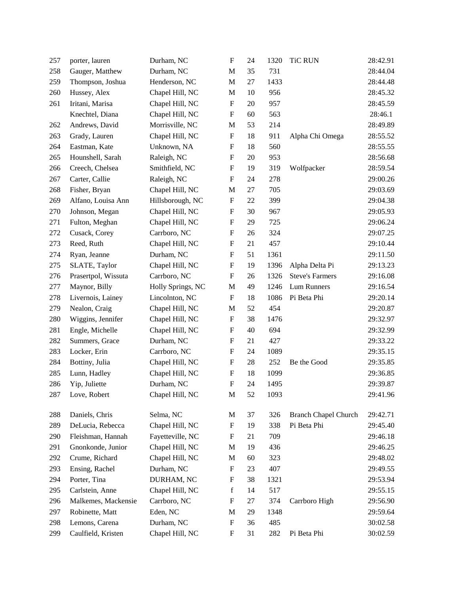| 257 | porter, lauren      | Durham, NC        | $\boldsymbol{\mathrm{F}}$ | 24 | 1320 | <b>TiC RUN</b>              | 28:42.91 |
|-----|---------------------|-------------------|---------------------------|----|------|-----------------------------|----------|
| 258 | Gauger, Matthew     | Durham, NC        | M                         | 35 | 731  |                             | 28:44.04 |
| 259 | Thompson, Joshua    | Henderson, NC     | M                         | 27 | 1433 |                             | 28:44.48 |
| 260 | Hussey, Alex        | Chapel Hill, NC   | M                         | 10 | 956  |                             | 28:45.32 |
| 261 | Iritani, Marisa     | Chapel Hill, NC   | $\boldsymbol{\mathrm{F}}$ | 20 | 957  |                             | 28:45.59 |
|     | Knechtel, Diana     | Chapel Hill, NC   | $\boldsymbol{\mathrm{F}}$ | 60 | 563  |                             | 28:46.1  |
| 262 | Andrews, David      | Morrisville, NC   | M                         | 53 | 214  |                             | 28:49.89 |
| 263 | Grady, Lauren       | Chapel Hill, NC   | ${\bf F}$                 | 18 | 911  | Alpha Chi Omega             | 28:55.52 |
| 264 | Eastman, Kate       | Unknown, NA       | F                         | 18 | 560  |                             | 28:55.55 |
| 265 | Hounshell, Sarah    | Raleigh, NC       | $\boldsymbol{\mathrm{F}}$ | 20 | 953  |                             | 28:56.68 |
| 266 | Creech, Chelsea     | Smithfield, NC    | $\boldsymbol{\mathrm{F}}$ | 19 | 319  | Wolfpacker                  | 28:59.54 |
| 267 | Carter, Callie      | Raleigh, NC       | $\boldsymbol{\mathrm{F}}$ | 24 | 278  |                             | 29:00.26 |
| 268 | Fisher, Bryan       | Chapel Hill, NC   | M                         | 27 | 705  |                             | 29:03.69 |
| 269 | Alfano, Louisa Ann  | Hillsborough, NC  | $\boldsymbol{\mathrm{F}}$ | 22 | 399  |                             | 29:04.38 |
| 270 | Johnson, Megan      | Chapel Hill, NC   | $\boldsymbol{F}$          | 30 | 967  |                             | 29:05.93 |
| 271 | Fulton, Meghan      | Chapel Hill, NC   | $\boldsymbol{\mathrm{F}}$ | 29 | 725  |                             | 29:06.24 |
| 272 | Cusack, Corey       | Carrboro, NC      | $\boldsymbol{\mathrm{F}}$ | 26 | 324  |                             | 29:07.25 |
| 273 | Reed, Ruth          | Chapel Hill, NC   | $\boldsymbol{\mathrm{F}}$ | 21 | 457  |                             | 29:10.44 |
| 274 | Ryan, Jeanne        | Durham, NC        | $\boldsymbol{\mathrm{F}}$ | 51 | 1361 |                             | 29:11.50 |
| 275 | SLATE, Taylor       | Chapel Hill, NC   | $\boldsymbol{\mathrm{F}}$ | 19 | 1396 | Alpha Delta Pi              | 29:13.23 |
| 276 | Prasertpol, Wissuta | Carrboro, NC      | $\boldsymbol{\mathrm{F}}$ | 26 | 1326 | <b>Steve's Farmers</b>      | 29:16.08 |
| 277 | Maynor, Billy       | Holly Springs, NC | M                         | 49 | 1246 | Lum Runners                 | 29:16.54 |
| 278 | Livernois, Lainey   | Lincolnton, NC    | $\boldsymbol{\mathrm{F}}$ | 18 | 1086 | Pi Beta Phi                 | 29:20.14 |
| 279 | Nealon, Craig       | Chapel Hill, NC   | M                         | 52 | 454  |                             | 29:20.87 |
| 280 | Wiggins, Jennifer   | Chapel Hill, NC   | $\boldsymbol{\mathrm{F}}$ | 38 | 1476 |                             | 29:32.97 |
| 281 | Engle, Michelle     | Chapel Hill, NC   | $\boldsymbol{\mathrm{F}}$ | 40 | 694  |                             | 29:32.99 |
| 282 | Summers, Grace      | Durham, NC        | F                         | 21 | 427  |                             | 29:33.22 |
| 283 | Locker, Erin        | Carrboro, NC      | $\boldsymbol{\mathrm{F}}$ | 24 | 1089 |                             | 29:35.15 |
| 284 | Bottiny, Julia      | Chapel Hill, NC   | $\boldsymbol{\mathrm{F}}$ | 28 | 252  | Be the Good                 | 29:35.85 |
| 285 | Lunn, Hadley        | Chapel Hill, NC   | $\boldsymbol{\mathrm{F}}$ | 18 | 1099 |                             | 29:36.85 |
| 286 | Yip, Juliette       | Durham, NC        | ${\bf F}$                 | 24 | 1495 |                             | 29:39.87 |
| 287 | Love, Robert        | Chapel Hill, NC   | M                         | 52 | 1093 |                             | 29:41.96 |
| 288 | Daniels, Chris      | Selma, NC         | $\mathbf M$               | 37 | 326  | <b>Branch Chapel Church</b> | 29:42.71 |
| 289 | DeLucia, Rebecca    | Chapel Hill, NC   | $\boldsymbol{\mathrm{F}}$ | 19 | 338  | Pi Beta Phi                 | 29:45.40 |
| 290 | Fleishman, Hannah   | Fayetteville, NC  | $\boldsymbol{\mathrm{F}}$ | 21 | 709  |                             | 29:46.18 |
| 291 | Gnonkonde, Junior   | Chapel Hill, NC   | $\mathbf{M}$              | 19 | 436  |                             | 29:46.25 |
| 292 | Crume, Richard      | Chapel Hill, NC   | $\mathbf M$               | 60 | 323  |                             | 29:48.02 |
| 293 | Ensing, Rachel      | Durham, NC        | $\boldsymbol{\mathrm{F}}$ | 23 | 407  |                             | 29:49.55 |
| 294 | Porter, Tina        | DURHAM, NC        | F                         | 38 | 1321 |                             | 29:53.94 |
| 295 | Carlstein, Anne     | Chapel Hill, NC   | f                         | 14 | 517  |                             | 29:55.15 |
| 296 | Malkemes, Mackensie | Carrboro, NC      | $\boldsymbol{\mathrm{F}}$ | 27 | 374  | Carrboro High               | 29:56.90 |
| 297 | Robinette, Matt     | Eden, NC          | M                         | 29 | 1348 |                             | 29:59.64 |
| 298 | Lemons, Carena      | Durham, NC        | $\boldsymbol{\mathrm{F}}$ | 36 | 485  |                             | 30:02.58 |
| 299 | Caulfield, Kristen  | Chapel Hill, NC   | $\boldsymbol{F}$          | 31 | 282  | Pi Beta Phi                 | 30:02.59 |
|     |                     |                   |                           |    |      |                             |          |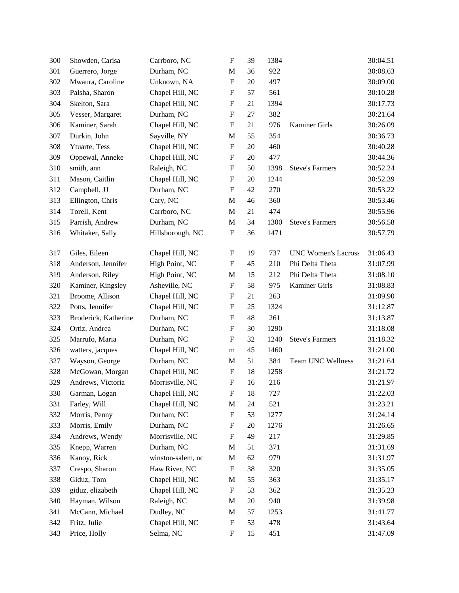| 300 | Showden, Carisa      | Carrboro, NC      | $\boldsymbol{\mathrm{F}}$ | 39 | 1384 |                            | 30:04.51 |
|-----|----------------------|-------------------|---------------------------|----|------|----------------------------|----------|
| 301 | Guerrero, Jorge      | Durham, NC        | M                         | 36 | 922  |                            | 30:08.63 |
| 302 | Mwaura, Caroline     | Unknown, NA       | $\boldsymbol{\mathrm{F}}$ | 20 | 497  |                            | 30:09.00 |
| 303 | Palsha, Sharon       | Chapel Hill, NC   | $\boldsymbol{\mathrm{F}}$ | 57 | 561  |                            | 30:10.28 |
| 304 | Skelton, Sara        | Chapel Hill, NC   | $\boldsymbol{\mathrm{F}}$ | 21 | 1394 |                            | 30:17.73 |
| 305 | Vesser, Margaret     | Durham, NC        | $\mathbf F$               | 27 | 382  |                            | 30:21.64 |
| 306 | Kaminer, Sarah       | Chapel Hill, NC   | F                         | 21 | 976  | Kaminer Girls              | 30:26.09 |
| 307 | Durkin, John         | Sayville, NY      | M                         | 55 | 354  |                            | 30:36.73 |
| 308 | Ytuarte, Tess        | Chapel Hill, NC   | $\boldsymbol{\mathrm{F}}$ | 20 | 460  |                            | 30:40.28 |
| 309 | Oppewal, Anneke      | Chapel Hill, NC   | $\boldsymbol{\mathrm{F}}$ | 20 | 477  |                            | 30:44.36 |
| 310 | smith, ann           | Raleigh, NC       | ${\bf F}$                 | 50 | 1398 | <b>Steve's Farmers</b>     | 30:52.24 |
| 311 | Mason, Caitlin       | Chapel Hill, NC   | F                         | 20 | 1244 |                            | 30:52.39 |
| 312 | Campbell, JJ         | Durham, NC        | F                         | 42 | 270  |                            | 30:53.22 |
| 313 | Ellington, Chris     | Cary, NC          | M                         | 46 | 360  |                            | 30:53.46 |
| 314 | Torell, Kent         | Carrboro, NC      | M                         | 21 | 474  |                            | 30:55.96 |
| 315 | Parrish, Andrew      | Durham, NC        | $\mathbf M$               | 34 | 1300 | <b>Steve's Farmers</b>     | 30:56.58 |
| 316 | Whitaker, Sally      | Hillsborough, NC  | $\boldsymbol{\mathrm{F}}$ | 36 | 1471 |                            | 30:57.79 |
| 317 | Giles, Eileen        | Chapel Hill, NC   | F                         | 19 | 737  | <b>UNC Women's Lacross</b> | 31:06.43 |
| 318 | Anderson, Jennifer   | High Point, NC    | $\boldsymbol{\mathrm{F}}$ | 45 | 210  | Phi Delta Theta            | 31:07.99 |
| 319 | Anderson, Riley      | High Point, NC    | $\mathbf M$               | 15 | 212  | Phi Delta Theta            | 31:08.10 |
| 320 | Kaminer, Kingsley    | Asheville, NC     | $\mathbf F$               | 58 | 975  | Kaminer Girls              | 31:08.83 |
| 321 | Broome, Allison      | Chapel Hill, NC   | $\boldsymbol{\mathrm{F}}$ | 21 | 263  |                            | 31:09.90 |
| 322 | Potts, Jennifer      | Chapel Hill, NC   | $\boldsymbol{\mathrm{F}}$ | 25 | 1324 |                            | 31:12.87 |
| 323 | Broderick, Katherine | Durham, NC        | $\mathbf F$               | 48 | 261  |                            | 31:13.87 |
| 324 | Ortiz, Andrea        | Durham, NC        | $\boldsymbol{\mathrm{F}}$ | 30 | 1290 |                            | 31:18.08 |
| 325 | Marrufo, Maria       | Durham, NC        | $\mathbf F$               | 32 | 1240 | <b>Steve's Farmers</b>     | 31:18.32 |
| 326 | watters, jacques     | Chapel Hill, NC   | m                         | 45 | 1460 |                            | 31:21.00 |
| 327 | Wayson, George       | Durham, NC        | M                         | 51 | 384  | Team UNC Wellness          | 31:21.64 |
| 328 | McGowan, Morgan      | Chapel Hill, NC   | $\boldsymbol{\mathrm{F}}$ | 18 | 1258 |                            | 31:21.72 |
| 329 | Andrews, Victoria    | Morrisville, NC   | ${\bf F}$                 | 16 | 216  |                            | 31:21.97 |
| 330 | Garman, Logan        | Chapel Hill, NC   | $\boldsymbol{\mathrm{F}}$ | 18 | 727  |                            | 31:22.03 |
| 331 | Farley, Will         | Chapel Hill, NC   | M                         | 24 | 521  |                            | 31:23.21 |
| 332 | Morris, Penny        | Durham, NC        | $\boldsymbol{\mathrm{F}}$ | 53 | 1277 |                            | 31:24.14 |
| 333 | Morris, Emily        | Durham, NC        | $\boldsymbol{\mathrm{F}}$ | 20 | 1276 |                            | 31:26.65 |
| 334 | Andrews, Wendy       | Morrisville, NC   | $\boldsymbol{\mathrm{F}}$ | 49 | 217  |                            | 31:29.85 |
| 335 | Knepp, Warren        | Durham, NC        | M                         | 51 | 371  |                            | 31:31.69 |
| 336 | Kanoy, Rick          | winston-salem, nc | $\mathbf M$               | 62 | 979  |                            | 31:31.97 |
| 337 | Crespo, Sharon       | Haw River, NC     | $\boldsymbol{\mathrm{F}}$ | 38 | 320  |                            | 31:35.05 |
| 338 | Giduz, Tom           | Chapel Hill, NC   | M                         | 55 | 363  |                            | 31:35.17 |
| 339 | giduz, elizabeth     | Chapel Hill, NC   | $\boldsymbol{\mathrm{F}}$ | 53 | 362  |                            | 31:35.23 |
| 340 | Hayman, Wilson       | Raleigh, NC       | M                         | 20 | 940  |                            | 31:39.98 |
| 341 | McCann, Michael      | Dudley, NC        | $\mathbf M$               | 57 | 1253 |                            | 31:41.77 |
| 342 | Fritz, Julie         | Chapel Hill, NC   | $\boldsymbol{\mathrm{F}}$ | 53 | 478  |                            | 31:43.64 |
| 343 | Price, Holly         | Selma, NC         | F                         | 15 | 451  |                            | 31:47.09 |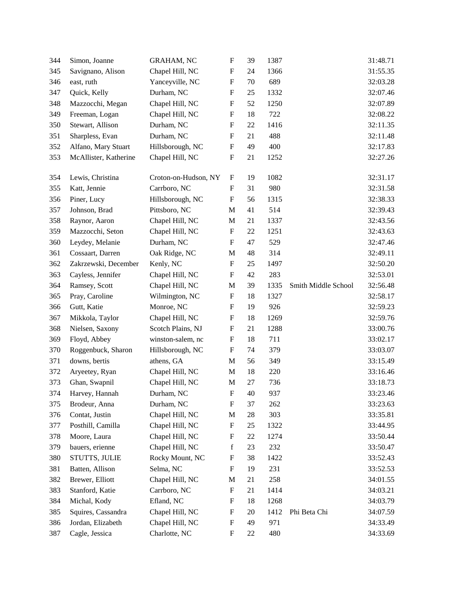| 344 | Simon, Joanne         | <b>GRAHAM, NC</b>    | $\boldsymbol{\mathrm{F}}$ | 39 | 1387 |                     | 31:48.71 |
|-----|-----------------------|----------------------|---------------------------|----|------|---------------------|----------|
| 345 | Savignano, Alison     | Chapel Hill, NC      | $\boldsymbol{\mathrm{F}}$ | 24 | 1366 |                     | 31:55.35 |
| 346 | east, ruth            | Yanceyville, NC      | $\mathbf F$               | 70 | 689  |                     | 32:03.28 |
| 347 | Quick, Kelly          | Durham, NC           | $\boldsymbol{\mathrm{F}}$ | 25 | 1332 |                     | 32:07.46 |
| 348 | Mazzocchi, Megan      | Chapel Hill, NC      | $\boldsymbol{\mathrm{F}}$ | 52 | 1250 |                     | 32:07.89 |
| 349 | Freeman, Logan        | Chapel Hill, NC      | $\boldsymbol{\mathrm{F}}$ | 18 | 722  |                     | 32:08.22 |
| 350 | Stewart, Allison      | Durham, NC           | $\mathbf F$               | 22 | 1416 |                     | 32:11.35 |
| 351 | Sharpless, Evan       | Durham, NC           | $\mathbf F$               | 21 | 488  |                     | 32:11.48 |
| 352 | Alfano, Mary Stuart   | Hillsborough, NC     | $\boldsymbol{\mathrm{F}}$ | 49 | 400  |                     | 32:17.83 |
| 353 | McAllister, Katherine | Chapel Hill, NC      | $\boldsymbol{\mathrm{F}}$ | 21 | 1252 |                     | 32:27.26 |
| 354 | Lewis, Christina      | Croton-on-Hudson, NY | F                         | 19 | 1082 |                     | 32:31.17 |
| 355 | Katt, Jennie          | Carrboro, NC         | F                         | 31 | 980  |                     | 32:31.58 |
| 356 | Piner, Lucy           | Hillsborough, NC     | $\boldsymbol{\mathrm{F}}$ | 56 | 1315 |                     | 32:38.33 |
| 357 | Johnson, Brad         | Pittsboro, NC        | M                         | 41 | 514  |                     | 32:39.43 |
| 358 | Raynor, Aaron         | Chapel Hill, NC      | $\mathbf M$               | 21 | 1337 |                     | 32:43.56 |
| 359 | Mazzocchi, Seton      | Chapel Hill, NC      | F                         | 22 | 1251 |                     | 32:43.63 |
| 360 | Leydey, Melanie       | Durham, NC           | $\boldsymbol{\mathrm{F}}$ | 47 | 529  |                     | 32:47.46 |
| 361 | Cossaart, Darren      | Oak Ridge, NC        | M                         | 48 | 314  |                     | 32:49.11 |
| 362 | Zakrzewski, December  | Kenly, NC            | F                         | 25 | 1497 |                     | 32:50.20 |
| 363 | Cayless, Jennifer     | Chapel Hill, NC      | $\boldsymbol{\mathrm{F}}$ | 42 | 283  |                     | 32:53.01 |
| 364 | Ramsey, Scott         | Chapel Hill, NC      | M                         | 39 | 1335 | Smith Middle School | 32:56.48 |
| 365 | Pray, Caroline        | Wilmington, NC       | F                         | 18 | 1327 |                     | 32:58.17 |
| 366 | Gutt, Katie           | Monroe, NC           | $\mathbf F$               | 19 | 926  |                     | 32:59.23 |
| 367 | Mikkola, Taylor       | Chapel Hill, NC      | $\boldsymbol{\mathrm{F}}$ | 18 | 1269 |                     | 32:59.76 |
| 368 | Nielsen, Saxony       | Scotch Plains, NJ    | $\boldsymbol{\mathrm{F}}$ | 21 | 1288 |                     | 33:00.76 |
| 369 | Floyd, Abbey          | winston-salem, nc    | F                         | 18 | 711  |                     | 33:02.17 |
| 370 | Roggenbuck, Sharon    | Hillsborough, NC     | $\boldsymbol{\mathrm{F}}$ | 74 | 379  |                     | 33:03.07 |
| 371 | downs, bertis         | athens, GA           | M                         | 56 | 349  |                     | 33:15.49 |
| 372 | Aryeetey, Ryan        | Chapel Hill, NC      | $\mathbf M$               | 18 | 220  |                     | 33:16.46 |
| 373 | Ghan, Swapnil         | Chapel Hill, NC      | $\mathbf M$               | 27 | 736  |                     | 33:18.73 |
| 374 | Harvey, Hannah        | Durham, NC           | ${\bf F}$                 | 40 | 937  |                     | 33:23.46 |
| 375 | Brodeur, Anna         | Durham, NC           | F                         | 37 | 262  |                     | 33:23.63 |
| 376 | Contat, Justin        | Chapel Hill, NC      | M                         | 28 | 303  |                     | 33:35.81 |
| 377 | Posthill, Camilla     | Chapel Hill, NC      | F                         | 25 | 1322 |                     | 33:44.95 |
| 378 | Moore, Laura          | Chapel Hill, NC      | F                         | 22 | 1274 |                     | 33:50.44 |
| 379 | bauers, erienne       | Chapel Hill, NC      | f                         | 23 | 232  |                     | 33:50.47 |
| 380 | STUTTS, JULIE         | Rocky Mount, NC      | ${\bf F}$                 | 38 | 1422 |                     | 33:52.43 |
| 381 | Batten, Allison       | Selma, NC            | $\boldsymbol{\mathrm{F}}$ | 19 | 231  |                     | 33:52.53 |
| 382 | Brewer, Elliott       | Chapel Hill, NC      | M                         | 21 | 258  |                     | 34:01.55 |
| 383 | Stanford, Katie       | Carrboro, NC         | $\boldsymbol{\mathrm{F}}$ | 21 | 1414 |                     | 34:03.21 |
| 384 | Michal, Kody          | Efland, NC           | F                         | 18 | 1268 |                     | 34:03.79 |
| 385 | Squires, Cassandra    | Chapel Hill, NC      | $\mathbf F$               | 20 | 1412 | Phi Beta Chi        | 34:07.59 |
| 386 | Jordan, Elizabeth     | Chapel Hill, NC      | $\boldsymbol{\mathrm{F}}$ | 49 | 971  |                     | 34:33.49 |
| 387 | Cagle, Jessica        | Charlotte, NC        | F                         | 22 | 480  |                     | 34:33.69 |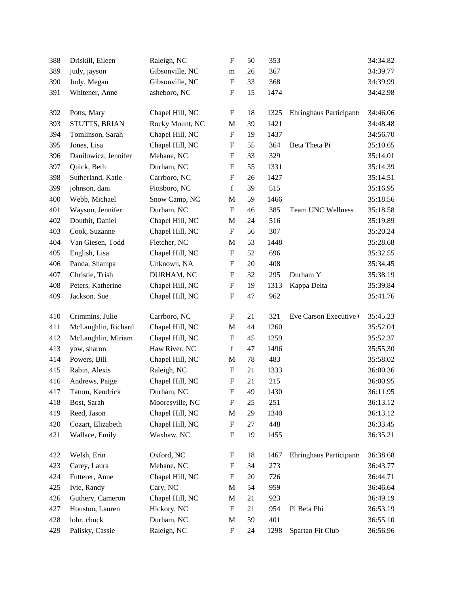| 388 | Driskill, Eileen     | Raleigh, NC     | $\boldsymbol{\mathrm{F}}$ | 50 | 353  |                                | 34:34.82 |
|-----|----------------------|-----------------|---------------------------|----|------|--------------------------------|----------|
| 389 | judy, jayson         | Gibsonville, NC | m                         | 26 | 367  |                                | 34:39.77 |
| 390 | Judy, Megan          | Gibsonville, NC | ${\bf F}$                 | 33 | 368  |                                | 34:39.99 |
| 391 | Whitener, Anne       | asheboro, NC    | F                         | 15 | 1474 |                                | 34:42.98 |
| 392 | Potts, Mary          | Chapel Hill, NC | $\boldsymbol{\mathrm{F}}$ | 18 | 1325 | <b>Ehringhaus Participants</b> | 34:46.06 |
| 393 | STUTTS, BRIAN        | Rocky Mount, NC | $\mathbf{M}$              | 39 | 1421 |                                | 34:48.48 |
| 394 | Tomlinson, Sarah     | Chapel Hill, NC | $\boldsymbol{\mathrm{F}}$ | 19 | 1437 |                                | 34:56.70 |
| 395 | Jones, Lisa          | Chapel Hill, NC | $\boldsymbol{\mathrm{F}}$ | 55 | 364  | Beta Theta Pi                  | 35:10.65 |
| 396 | Danilowicz, Jennifer | Mebane, NC      | $\boldsymbol{\mathrm{F}}$ | 33 | 329  |                                | 35:14.01 |
| 397 | Quick, Beth          | Durham, NC      | $\boldsymbol{\mathrm{F}}$ | 55 | 1331 |                                | 35:14.39 |
| 398 | Sutherland, Katie    | Carrboro, NC    | $\boldsymbol{\mathrm{F}}$ | 26 | 1427 |                                | 35:14.51 |
| 399 | johnson, dani        | Pittsboro, NC   | $\mathbf f$               | 39 | 515  |                                | 35:16.95 |
| 400 | Webb, Michael        | Snow Camp, NC   | $\mathbf{M}$              | 59 | 1466 |                                | 35:18.56 |
| 401 | Wayson, Jennifer     | Durham, NC      | $\boldsymbol{\mathrm{F}}$ | 46 | 385  | Team UNC Wellness              | 35:18.58 |
| 402 | Douthit, Daniel      | Chapel Hill, NC | $\mathbf{M}$              | 24 | 516  |                                | 35:19.89 |
| 403 | Cook, Suzanne        | Chapel Hill, NC | $\boldsymbol{\mathrm{F}}$ | 56 | 307  |                                | 35:20.24 |
| 404 | Van Giesen, Todd     | Fletcher, NC    | $\mathbf{M}$              | 53 | 1448 |                                | 35:28.68 |
| 405 | English, Lisa        | Chapel Hill, NC | $\boldsymbol{\mathrm{F}}$ | 52 | 696  |                                | 35:32.55 |
| 406 | Panda, Shampa        | Unknown, NA     | $\boldsymbol{\mathrm{F}}$ | 20 | 408  |                                | 35:34.45 |
| 407 | Christie, Trish      | DURHAM, NC      | $\boldsymbol{\mathrm{F}}$ | 32 | 295  | Durham Y                       | 35:38.19 |
| 408 | Peters, Katherine    | Chapel Hill, NC | $\boldsymbol{\mathrm{F}}$ | 19 | 1313 | Kappa Delta                    | 35:39.84 |
| 409 | Jackson, Sue         | Chapel Hill, NC | $\boldsymbol{\mathrm{F}}$ | 47 | 962  |                                | 35:41.76 |
| 410 | Crimmins, Julie      | Carrboro, NC    | $\boldsymbol{\mathrm{F}}$ | 21 | 321  | Eve Carson Executive (         | 35:45.23 |
| 411 | McLaughlin, Richard  | Chapel Hill, NC | $\mathbf M$               | 44 | 1260 |                                | 35:52.04 |
| 412 | McLaughlin, Miriam   | Chapel Hill, NC | $\boldsymbol{\mathrm{F}}$ | 45 | 1259 |                                | 35:52.37 |
| 413 | yow, sharon          | Haw River, NC   | f                         | 47 | 1496 |                                | 35:55.30 |
| 414 | Powers, Bill         | Chapel Hill, NC | $\mathbf{M}$              | 78 | 483  |                                | 35:58.02 |
| 415 | Rabin, Alexis        | Raleigh, NC     | $\boldsymbol{\mathrm{F}}$ | 21 | 1333 |                                | 36:00.36 |
| 416 | Andrews, Paige       | Chapel Hill, NC | $\boldsymbol{\mathrm{F}}$ | 21 | 215  |                                | 36:00.95 |
| 417 | Tatum, Kendrick      | Durham, NC      | ${\bf F}$                 | 49 | 1430 |                                | 36:11.95 |
| 418 | Bost, Sarah          | Mooresville, NC | F                         | 25 | 251  |                                | 36:13.12 |
| 419 | Reed, Jason          | Chapel Hill, NC | $\mathbf M$               | 29 | 1340 |                                | 36:13.12 |
| 420 | Cozart, Elizabeth    | Chapel Hill, NC | $\boldsymbol{\mathrm{F}}$ | 27 | 448  |                                | 36:33.45 |
| 421 | Wallace, Emily       | Waxhaw, NC      | $\boldsymbol{\mathrm{F}}$ | 19 | 1455 |                                | 36:35.21 |
| 422 | Welsh, Erin          | Oxford, NC      | $\boldsymbol{\mathrm{F}}$ | 18 | 1467 | <b>Ehringhaus Participants</b> | 36:38.68 |
| 423 | Carey, Laura         | Mebane, NC      | $\boldsymbol{F}$          | 34 | 273  |                                | 36:43.77 |
| 424 | Futterer, Anne       | Chapel Hill, NC | $\boldsymbol{\mathrm{F}}$ | 20 | 726  |                                | 36:44.71 |
| 425 | Ivie, Randy          | Cary, NC        | M                         | 54 | 959  |                                | 36:46.64 |
| 426 | Guthery, Cameron     | Chapel Hill, NC | M                         | 21 | 923  |                                | 36:49.19 |
| 427 | Houston, Lauren      | Hickory, NC     | ${\bf F}$                 | 21 | 954  | Pi Beta Phi                    | 36:53.19 |
| 428 | lohr, chuck          | Durham, NC      | $\mathbf{M}$              | 59 | 401  |                                | 36:55.10 |
| 429 | Palisky, Cassie      | Raleigh, NC     | $\boldsymbol{\mathrm{F}}$ | 24 | 1298 | Spartan Fit Club               | 36:56.96 |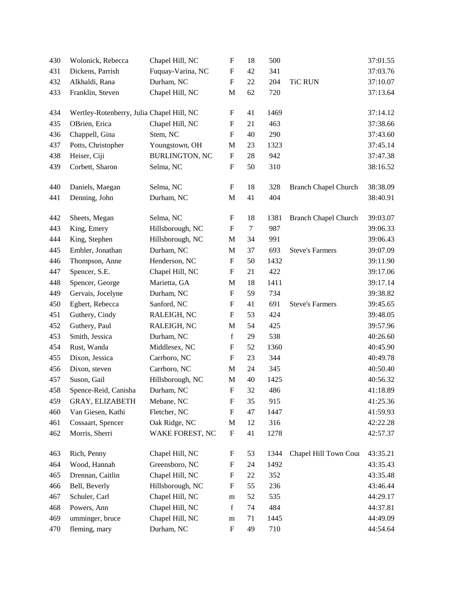| 430 | Wolonick, Rebecca                         | Chapel Hill, NC       | $\boldsymbol{\mathrm{F}}$ | 18     | 500  |                             | 37:01.55 |
|-----|-------------------------------------------|-----------------------|---------------------------|--------|------|-----------------------------|----------|
| 431 | Dickens, Parrish                          | Fuquay-Varina, NC     | $\boldsymbol{\mathrm{F}}$ | 42     | 341  |                             | 37:03.76 |
| 432 | Alkhaldi, Rana                            | Durham, NC            | $\boldsymbol{\mathrm{F}}$ | $22\,$ | 204  | <b>TiC RUN</b>              | 37:10.07 |
| 433 | Franklin, Steven                          | Chapel Hill, NC       | M                         | 62     | 720  |                             | 37:13.64 |
| 434 | Wertley-Rotenberry, Julia Chapel Hill, NC |                       | F                         | 41     | 1469 |                             | 37:14.12 |
| 435 | OBrien, Erica                             | Chapel Hill, NC       | F                         | 21     | 463  |                             | 37:38.66 |
| 436 | Chappell, Gina                            | Stem, NC              | $\boldsymbol{\mathrm{F}}$ | 40     | 290  |                             | 37:43.60 |
| 437 | Potts, Christopher                        | Youngstown, OH        | M                         | 23     | 1323 |                             | 37:45.14 |
| 438 | Heiser, Ciji                              | <b>BURLINGTON, NC</b> | $\boldsymbol{\mathrm{F}}$ | 28     | 942  |                             | 37:47.38 |
| 439 | Corbett, Sharon                           | Selma, NC             | $\boldsymbol{\mathrm{F}}$ | 50     | 310  |                             | 38:16.52 |
| 440 | Daniels, Maegan                           | Selma, NC             | F                         | 18     | 328  | <b>Branch Chapel Church</b> | 38:38.09 |
| 441 | Denning, John                             | Durham, NC            | $\mathbf M$               | 41     | 404  |                             | 38:40.91 |
| 442 | Sheets, Megan                             | Selma, NC             | $\boldsymbol{\mathrm{F}}$ | 18     | 1381 | <b>Branch Chapel Church</b> | 39:03.07 |
| 443 | King, Emery                               | Hillsborough, NC      | $\boldsymbol{\mathrm{F}}$ | $\tau$ | 987  |                             | 39:06.33 |
| 444 | King, Stephen                             | Hillsborough, NC      | $\mathbf M$               | 34     | 991  |                             | 39:06.43 |
| 445 | Embler, Jonathan                          | Durham, NC            | M                         | 37     | 693  | <b>Steve's Farmers</b>      | 39:07.09 |
| 446 | Thompson, Anne                            | Henderson, NC         | $\boldsymbol{\mathrm{F}}$ | 50     | 1432 |                             | 39:11.90 |
| 447 | Spencer, S.E.                             | Chapel Hill, NC       | $\boldsymbol{\mathrm{F}}$ | 21     | 422  |                             | 39:17.06 |
| 448 | Spencer, George                           | Marietta, GA          | $\mathbf M$               | 18     | 1411 |                             | 39:17.14 |
| 449 | Gervais, Jocelyne                         | Durham, NC            | $\mathbf F$               | 59     | 734  |                             | 39:38.82 |
| 450 | Egbert, Rebecca                           | Sanford, NC           | $\boldsymbol{\mathrm{F}}$ | 41     | 691  | <b>Steve's Farmers</b>      | 39:45.65 |
| 451 | Guthery, Cindy                            | RALEIGH, NC           | F                         | 53     | 424  |                             | 39:48.05 |
| 452 | Guthery, Paul                             | RALEIGH, NC           | M                         | 54     | 425  |                             | 39:57.96 |
| 453 | Smith, Jessica                            | Durham, NC            | $\mathbf f$               | 29     | 538  |                             | 40:26.60 |
| 454 | Rust, Wanda                               | Middlesex, NC         | $\boldsymbol{\mathrm{F}}$ | 52     | 1360 |                             | 40:45.90 |
| 455 | Dixon, Jessica                            | Carrboro, NC          | $\boldsymbol{\mathrm{F}}$ | 23     | 344  |                             | 40:49.78 |
| 456 | Dixon, steven                             | Carrboro, NC          | M                         | 24     | 345  |                             | 40:50.40 |
| 457 | Suson, Gail                               | Hillsborough, NC      | $\mathbf M$               | 40     | 1425 |                             | 40:56.32 |
| 458 | Spence-Reid, Canisha                      | Durham, NC            | F                         | 32     | 486  |                             | 41:18.89 |
| 459 | GRAY, ELIZABETH                           | Mebane, NC            | $\boldsymbol{\mathrm{F}}$ | 35     | 915  |                             | 41:25.36 |
| 460 | Van Giesen, Kathi                         | Fletcher, NC          | F                         | 47     | 1447 |                             | 41:59.93 |
| 461 | Cossaart, Spencer                         | Oak Ridge, NC         | $\mathbf M$               | 12     | 316  |                             | 42:22.28 |
| 462 | Morris, Sherri                            | WAKE FOREST, NC       | $\boldsymbol{\mathrm{F}}$ | 41     | 1278 |                             | 42:57.37 |
| 463 | Rich, Penny                               | Chapel Hill, NC       | F                         | 53     | 1344 | Chapel Hill Town Cour       | 43:35.21 |
| 464 | Wood, Hannah                              | Greensboro, NC        | $\boldsymbol{\mathrm{F}}$ | 24     | 1492 |                             | 43:35.43 |
| 465 | Drennan, Caitlin                          | Chapel Hill, NC       | F                         | 22     | 352  |                             | 43:35.48 |
| 466 | Bell, Beverly                             | Hillsborough, NC      | $\boldsymbol{\mathrm{F}}$ | 55     | 236  |                             | 43:46.44 |
| 467 | Schuler, Carl                             | Chapel Hill, NC       | ${\rm m}$                 | 52     | 535  |                             | 44:29.17 |
| 468 | Powers, Ann                               | Chapel Hill, NC       | $\mathbf f$               | 74     | 484  |                             | 44:37.81 |
| 469 | umminger, bruce                           | Chapel Hill, NC       | m                         | 71     | 1445 |                             | 44:49.09 |
| 470 | fleming, mary                             | Durham, NC            | $\boldsymbol{\mathrm{F}}$ | 49     | 710  |                             | 44:54.64 |